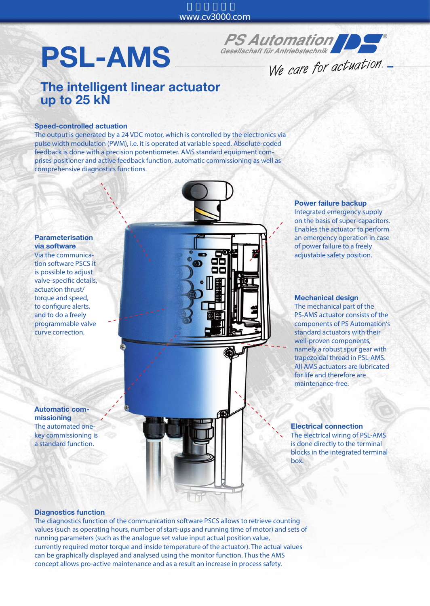# PSL-AMS



We care for actuation.

### The intelligent linear actuator up to 25 kN

#### Speed-controlled actuation

The output is generated by a 24 VDC motor, which is controlled by the electronics via pulse width modulation (PWM), i.e. it is operated at variable speed. Absolute-coded feedback is done with a precision potentiometer. AMS standard equipment comprises positioner and active feedback function, automatic commissioning as well as comprehensive diagnostics functions.



Via the communication software PSCS it is possible to adjust valve-specific details, actuation thrust/ torque and speed, to configure alerts, and to do a freely programmable valve curve correction.

Automatic commissioning The automated onekey commissioning is a standard function.



## Power failure backup Integrated emergency supply

on the basis of super-capacitors. Enables the actuator to perform an emergency operation in case of power failure to a freely adjustable safety position.

#### Mechanical design

The mechanical part of the PS-AMS actuator consists of the components of PS Automation's standard actuators with their well-proven components, namely a robust spur gear with trapezoidal thread in PSL-AMS. All AMS actuators are lubricated for life and therefore are maintenance-free.

Electrical connection The electrical wiring of PSL-AMS is done directly to the terminal blocks in the integrated terminal box.

#### Diagnostics function

The diagnostics function of the communication software PSCS allows to retrieve counting values (such as operating hours, number of start-ups and running time of motor) and sets of running parameters (such as the analogue set value input actual position value, currently required motor torque and inside temperature of the actuator). The actual values can be graphically displayed and analysed using the monitor function. Thus the AMS concept allows pro-active maintenance and as a result an increase in process safety.